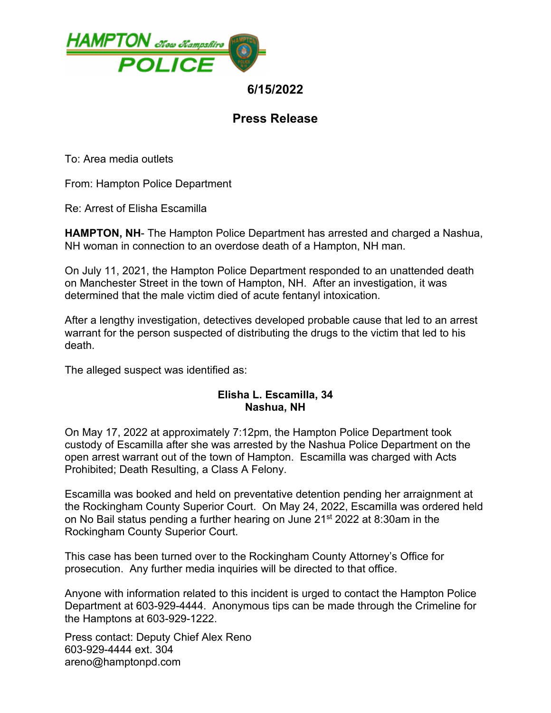

## **6/15/2022**

## **Press Release**

To: Area media outlets

From: Hampton Police Department

Re: Arrest of Elisha Escamilla

**HAMPTON, NH**- The Hampton Police Department has arrested and charged a Nashua, NH woman in connection to an overdose death of a Hampton, NH man.

On July 11, 2021, the Hampton Police Department responded to an unattended death on Manchester Street in the town of Hampton, NH. After an investigation, it was determined that the male victim died of acute fentanyl intoxication.

After a lengthy investigation, detectives developed probable cause that led to an arrest warrant for the person suspected of distributing the drugs to the victim that led to his death.

The alleged suspect was identified as:

## **Elisha L. Escamilla, 34 Nashua, NH**

On May 17, 2022 at approximately 7:12pm, the Hampton Police Department took custody of Escamilla after she was arrested by the Nashua Police Department on the open arrest warrant out of the town of Hampton. Escamilla was charged with Acts Prohibited; Death Resulting, a Class A Felony.

Escamilla was booked and held on preventative detention pending her arraignment at the Rockingham County Superior Court. On May 24, 2022, Escamilla was ordered held on No Bail status pending a further hearing on June  $21<sup>st</sup> 2022$  at 8:30am in the Rockingham County Superior Court.

This case has been turned over to the Rockingham County Attorney's Office for prosecution. Any further media inquiries will be directed to that office.

Anyone with information related to this incident is urged to contact the Hampton Police Department at 603-929-4444. Anonymous tips can be made through the Crimeline for the Hamptons at 603-929-1222.

Press contact: Deputy Chief Alex Reno 603-929-4444 ext. 304 areno@hamptonpd.com